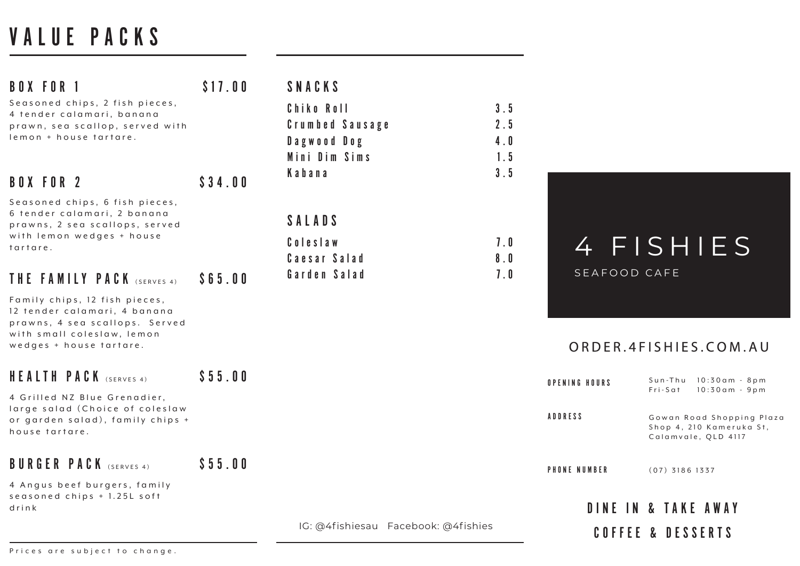Gowan Road Shopping Plaza Shop 4, 210 Kameruka St, Calamvale, QLD 4117 Sun-Thu 10:30am - 8pm Fri-Sat 10:30am - 9pm **HOURS** 

(07) 3186 1337 **UMBER** 

# VALUE PACKS

| <b>BOX FOR 1</b>                                                                                                                                         | \$17.00 | SNACKS                                                        |                          |                 |
|----------------------------------------------------------------------------------------------------------------------------------------------------------|---------|---------------------------------------------------------------|--------------------------|-----------------|
| Seasoned chips, 2 fish pieces,<br>4 tender calamari, banana<br>prawn, sea scallop, served with<br>lemon + house tartare.                                 |         | Chiko Roll<br>Crumbed Sausage<br>Dagwood Dog<br>Mini Dim Sims | 3.5<br>2.5<br>4.0<br>1.5 |                 |
| <b>BOX FOR 2</b>                                                                                                                                         | \$34.00 | Kabana                                                        | 3.5                      |                 |
| Seasoned chips, 6 fish pieces,<br>6 tender calamari, 2 banana<br>prawns, 2 sea scallops, served<br>with lemon wedges + house<br>tartare.                 |         | SALADS<br>Coleslaw<br>Caesar Salad                            | 7.0<br>8.0               |                 |
| THE FAMILY PACK (SERVES 4)                                                                                                                               | \$65.00 | Garden Salad                                                  | 7.0                      | S               |
| Family chips, 12 fish pieces,<br>12 tender calamari, 4 banana<br>prawns, 4 sea scallops. Served<br>with small coleslaw, lemon<br>wedges + house tartare. |         |                                                               |                          | O I             |
| HEALTH PACK (SERVES 4)                                                                                                                                   | \$55.00 |                                                               |                          | OPENING         |
| 4 Grilled NZ Blue Grenadier,<br>large salad (Choice of coleslaw<br>or garden salad), family chips +<br>house tartare.                                    |         |                                                               |                          | <b>ADDRESS</b>  |
| <b>BURGER PACK</b> (SERVES 4)                                                                                                                            | \$55.00 |                                                               |                          | <b>PHONE NU</b> |
| 4 Angus beef burgers, family<br>seasoned chips + 1.25L soft<br>drink                                                                                     |         |                                                               |                          |                 |
|                                                                                                                                                          |         | IG: @4fishiesau Facebook: @4fishies                           |                          |                 |

## **FISHIES** EAFOOD CAFE

## DINE IN & TAKE AWAY

### COFFEE & DESSERTS

### ORDER.4FISHIES.COM.AU